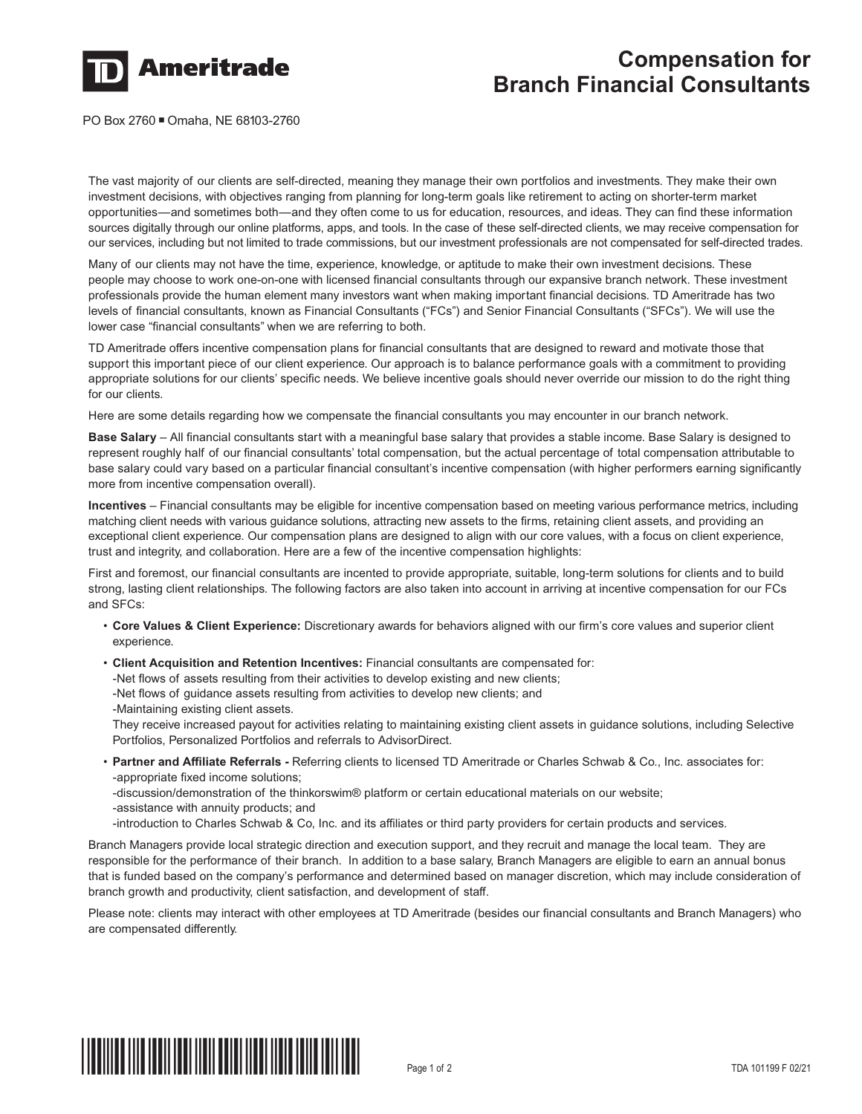

## **Compensation for Branch Financial Consultants**

PO Box 2760 ■ Omaha, NE 68103-2760

The vast majority of our clients are self-directed, meaning they manage their own portfolios and investments. They make their own investment decisions, with objectives ranging from planning for long-term goals like retirement to acting on shorter-term market opportunities—and sometimes both—and they often come to us for education, resources, and ideas. They can find these information sources digitally through our online platforms, apps, and tools. In the case of these self-directed clients, we may receive compensation for our services, including but not limited to trade commissions, but our investment professionals are not compensated for self-directed trades.

Many of our clients may not have the time, experience, knowledge, or aptitude to make their own investment decisions. These people may choose to work one-on-one with licensed financial consultants through our expansive branch network. These investment professionals provide the human element many investors want when making important financial decisions. TD Ameritrade has two levels of financial consultants, known as Financial Consultants ("FCs") and Senior Financial Consultants ("SFCs"). We will use the lower case "financial consultants" when we are referring to both.

TD Ameritrade offers incentive compensation plans for financial consultants that are designed to reward and motivate those that support this important piece of our client experience. Our approach is to balance performance goals with a commitment to providing appropriate solutions for our clients' specific needs. We believe incentive goals should never override our mission to do the right thing for our clients.

Here are some details regarding how we compensate the financial consultants you may encounter in our branch network.

**Base Salary** – All financial consultants start with a meaningful base salary that provides a stable income. Base Salary is designed to represent roughly half of our financial consultants' total compensation, but the actual percentage of total compensation attributable to base salary could vary based on a particular financial consultant's incentive compensation (with higher performers earning significantly more from incentive compensation overall).

**Incentives** – Financial consultants may be eligible for incentive compensation based on meeting various performance metrics, including matching client needs with various guidance solutions, attracting new assets to the firms, retaining client assets, and providing an exceptional client experience. Our compensation plans are designed to align with our core values, with a focus on client experience, trust and integrity, and collaboration. Here are a few of the incentive compensation highlights:

First and foremost, our financial consultants are incented to provide appropriate, suitable, long-term solutions for clients and to build strong, lasting client relationships. The following factors are also taken into account in arriving at incentive compensation for our FCs and SFCs:

- **Core Values & Client Experience:** Discretionary awards for behaviors aligned with our firm's core values and superior client experience.
- **Client Acquisition and Retention Incentives:** Financial consultants are compensated for:

-Net flows of assets resulting from their activities to develop existing and new clients;

-Net flows of guidance assets resulting from activities to develop new clients; and

-Maintaining existing client assets.

They receive increased payout for activities relating to maintaining existing client assets in guidance solutions, including Selective Portfolios, Personalized Portfolios and referrals to AdvisorDirect.

- **Partner and Affiliate Referrals** Referring clients to licensed TD Ameritrade or Charles Schwab & Co., Inc. associates for: -appropriate fixed income solutions;
	- -discussion/demonstration of the thinkorswim® platform or certain educational materials on our website;
	- -assistance with annuity products; and
- -introduction to Charles Schwab & Co, Inc. and its affiliates or third party providers for certain products and services.

Branch Managers provide local strategic direction and execution support, and they recruit and manage the local team. They are responsible for the performance of their branch. In addition to a base salary, Branch Managers are eligible to earn an annual bonus that is funded based on the company's performance and determined based on manager discretion, which may include consideration of branch growth and productivity, client satisfaction, and development of staff.

Please note: clients may interact with other employees at TD Ameritrade (besides our financial consultants and Branch Managers) who are compensated differently.